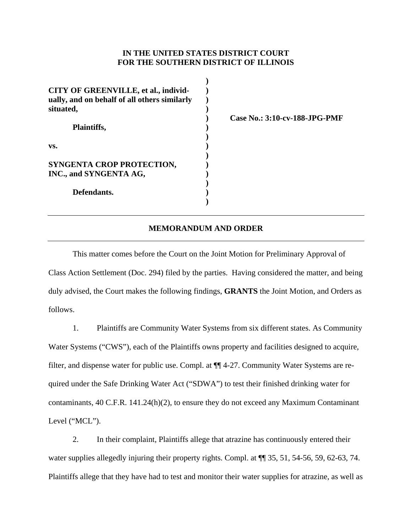## **IN THE UNITED STATES DISTRICT COURT FOR THE SOUTHERN DISTRICT OF ILLINOIS**

| CITY OF GREENVILLE, et al., individ-<br>ually, and on behalf of all others similarly<br>situated, |  |
|---------------------------------------------------------------------------------------------------|--|
| Plaintiffs,                                                                                       |  |
| VS.                                                                                               |  |
| SYNGENTA CROP PROTECTION,<br>INC., and SYNGENTA AG,                                               |  |
| Defendants.                                                                                       |  |

**Case No.: 3:10-cv-188-JPG-PMF** 

## **MEMORANDUM AND ORDER**

This matter comes before the Court on the Joint Motion for Preliminary Approval of Class Action Settlement (Doc. 294) filed by the parties. Having considered the matter, and being duly advised, the Court makes the following findings, **GRANTS** the Joint Motion, and Orders as follows.

1. Plaintiffs are Community Water Systems from six different states. As Community Water Systems ("CWS"), each of the Plaintiffs owns property and facilities designed to acquire, filter, and dispense water for public use. Compl. at ¶¶ 4-27. Community Water Systems are required under the Safe Drinking Water Act ("SDWA") to test their finished drinking water for contaminants, 40 C.F.R. 141.24(h)(2), to ensure they do not exceed any Maximum Contaminant Level ("MCL").

2. In their complaint, Plaintiffs allege that atrazine has continuously entered their water supplies allegedly injuring their property rights. Compl. at  $\P$   $\P$  35, 51, 54-56, 59, 62-63, 74. Plaintiffs allege that they have had to test and monitor their water supplies for atrazine, as well as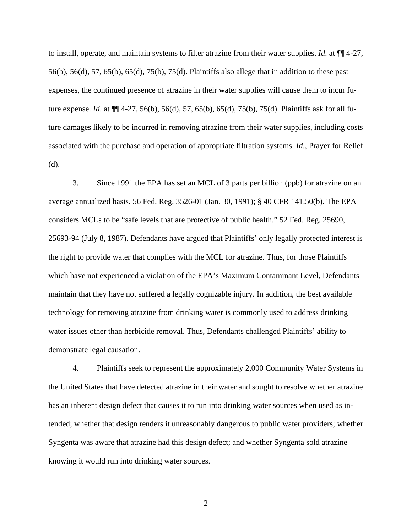to install, operate, and maintain systems to filter atrazine from their water supplies. *Id*. at ¶¶ 4-27, 56(b), 56(d), 57, 65(b), 65(d), 75(b), 75(d). Plaintiffs also allege that in addition to these past expenses, the continued presence of atrazine in their water supplies will cause them to incur future expense. *Id*. at ¶¶ 4-27, 56(b), 56(d), 57, 65(b), 65(d), 75(b), 75(d). Plaintiffs ask for all future damages likely to be incurred in removing atrazine from their water supplies, including costs associated with the purchase and operation of appropriate filtration systems. *Id*., Prayer for Relief (d).

3. Since 1991 the EPA has set an MCL of 3 parts per billion (ppb) for atrazine on an average annualized basis. 56 Fed. Reg. 3526-01 (Jan. 30, 1991); § 40 CFR 141.50(b). The EPA considers MCLs to be "safe levels that are protective of public health." 52 Fed. Reg. 25690, 25693-94 (July 8, 1987). Defendants have argued that Plaintiffs' only legally protected interest is the right to provide water that complies with the MCL for atrazine. Thus, for those Plaintiffs which have not experienced a violation of the EPA's Maximum Contaminant Level, Defendants maintain that they have not suffered a legally cognizable injury. In addition, the best available technology for removing atrazine from drinking water is commonly used to address drinking water issues other than herbicide removal. Thus, Defendants challenged Plaintiffs' ability to demonstrate legal causation.

4. Plaintiffs seek to represent the approximately 2,000 Community Water Systems in the United States that have detected atrazine in their water and sought to resolve whether atrazine has an inherent design defect that causes it to run into drinking water sources when used as intended; whether that design renders it unreasonably dangerous to public water providers; whether Syngenta was aware that atrazine had this design defect; and whether Syngenta sold atrazine knowing it would run into drinking water sources.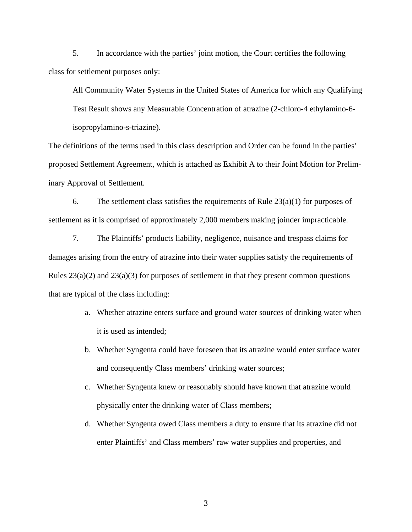5. In accordance with the parties' joint motion, the Court certifies the following class for settlement purposes only:

All Community Water Systems in the United States of America for which any Qualifying Test Result shows any Measurable Concentration of atrazine (2-chloro-4 ethylamino-6 isopropylamino-s-triazine).

The definitions of the terms used in this class description and Order can be found in the parties' proposed Settlement Agreement, which is attached as Exhibit A to their Joint Motion for Preliminary Approval of Settlement.

6. The settlement class satisfies the requirements of Rule  $23(a)(1)$  for purposes of settlement as it is comprised of approximately 2,000 members making joinder impracticable.

7. The Plaintiffs' products liability, negligence, nuisance and trespass claims for damages arising from the entry of atrazine into their water supplies satisfy the requirements of Rules  $23(a)(2)$  and  $23(a)(3)$  for purposes of settlement in that they present common questions that are typical of the class including:

- a. Whether atrazine enters surface and ground water sources of drinking water when it is used as intended;
- b. Whether Syngenta could have foreseen that its atrazine would enter surface water and consequently Class members' drinking water sources;
- c. Whether Syngenta knew or reasonably should have known that atrazine would physically enter the drinking water of Class members;
- d. Whether Syngenta owed Class members a duty to ensure that its atrazine did not enter Plaintiffs' and Class members' raw water supplies and properties, and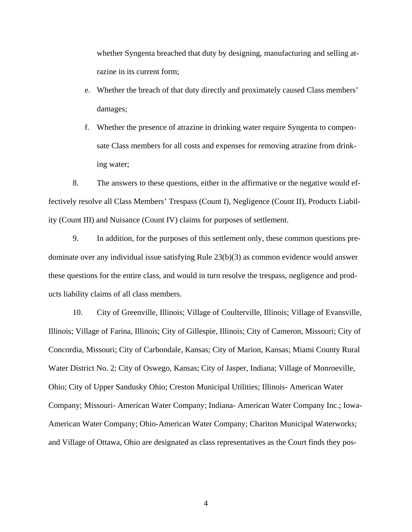whether Syngenta breached that duty by designing, manufacturing and selling atrazine in its current form;

- e. Whether the breach of that duty directly and proximately caused Class members' damages;
- f. Whether the presence of atrazine in drinking water require Syngenta to compensate Class members for all costs and expenses for removing atrazine from drinking water;

8. The answers to these questions, either in the affirmative or the negative would effectively resolve all Class Members' Trespass (Count I), Negligence (Count II), Products Liability (Count III) and Nuisance (Count IV) claims for purposes of settlement.

9. In addition, for the purposes of this settlement only, these common questions predominate over any individual issue satisfying Rule 23(b)(3) as common evidence would answer these questions for the entire class, and would in turn resolve the trespass, negligence and products liability claims of all class members.

10. City of Greenville, Illinois; Village of Coulterville, Illinois; Village of Evansville, Illinois; Village of Farina, Illinois; City of Gillespie, Illinois; City of Cameron, Missouri; City of Concordia, Missouri; City of Carbondale, Kansas; City of Marion, Kansas; Miami County Rural Water District No. 2; City of Oswego, Kansas; City of Jasper, Indiana; Village of Monroeville, Ohio; City of Upper Sandusky Ohio; Creston Municipal Utilities; Illinois- American Water Company; Missouri- American Water Company; Indiana- American Water Company Inc.; Iowa-American Water Company; Ohio-American Water Company; Chariton Municipal Waterworks; and Village of Ottawa, Ohio are designated as class representatives as the Court finds they pos-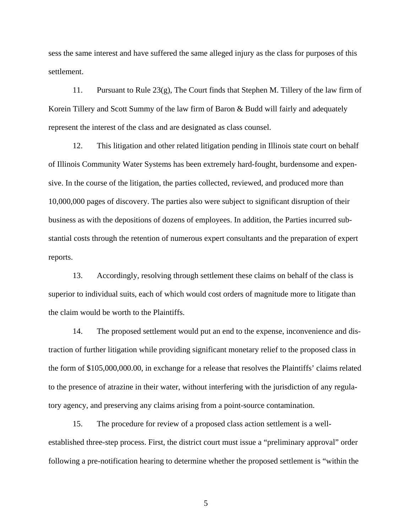sess the same interest and have suffered the same alleged injury as the class for purposes of this settlement.

11. Pursuant to Rule 23(g), The Court finds that Stephen M. Tillery of the law firm of Korein Tillery and Scott Summy of the law firm of Baron & Budd will fairly and adequately represent the interest of the class and are designated as class counsel.

12. This litigation and other related litigation pending in Illinois state court on behalf of Illinois Community Water Systems has been extremely hard-fought, burdensome and expensive. In the course of the litigation, the parties collected, reviewed, and produced more than 10,000,000 pages of discovery. The parties also were subject to significant disruption of their business as with the depositions of dozens of employees. In addition, the Parties incurred substantial costs through the retention of numerous expert consultants and the preparation of expert reports.

13. Accordingly, resolving through settlement these claims on behalf of the class is superior to individual suits, each of which would cost orders of magnitude more to litigate than the claim would be worth to the Plaintiffs.

14. The proposed settlement would put an end to the expense, inconvenience and distraction of further litigation while providing significant monetary relief to the proposed class in the form of \$105,000,000.00, in exchange for a release that resolves the Plaintiffs' claims related to the presence of atrazine in their water, without interfering with the jurisdiction of any regulatory agency, and preserving any claims arising from a point-source contamination.

15. The procedure for review of a proposed class action settlement is a wellestablished three-step process. First, the district court must issue a "preliminary approval" order following a pre-notification hearing to determine whether the proposed settlement is "within the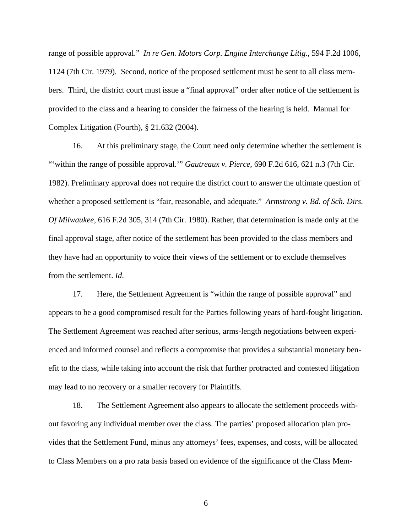range of possible approval." *In re Gen. Motors Corp. Engine Interchange Litig*., 594 F.2d 1006, 1124 (7th Cir. 1979). Second, notice of the proposed settlement must be sent to all class members. Third, the district court must issue a "final approval" order after notice of the settlement is provided to the class and a hearing to consider the fairness of the hearing is held. Manual for Complex Litigation (Fourth), § 21.632 (2004).

16. At this preliminary stage, the Court need only determine whether the settlement is "'within the range of possible approval.'" *Gautreaux v. Pierce*, 690 F.2d 616, 621 n.3 (7th Cir. 1982). Preliminary approval does not require the district court to answer the ultimate question of whether a proposed settlement is "fair, reasonable, and adequate." *Armstrong v. Bd. of Sch. Dirs. Of Milwaukee*, 616 F.2d 305, 314 (7th Cir. 1980). Rather, that determination is made only at the final approval stage, after notice of the settlement has been provided to the class members and they have had an opportunity to voice their views of the settlement or to exclude themselves from the settlement. *Id*.

17. Here, the Settlement Agreement is "within the range of possible approval" and appears to be a good compromised result for the Parties following years of hard-fought litigation. The Settlement Agreement was reached after serious, arms-length negotiations between experienced and informed counsel and reflects a compromise that provides a substantial monetary benefit to the class, while taking into account the risk that further protracted and contested litigation may lead to no recovery or a smaller recovery for Plaintiffs.

18. The Settlement Agreement also appears to allocate the settlement proceeds without favoring any individual member over the class. The parties' proposed allocation plan provides that the Settlement Fund, minus any attorneys' fees, expenses, and costs, will be allocated to Class Members on a pro rata basis based on evidence of the significance of the Class Mem-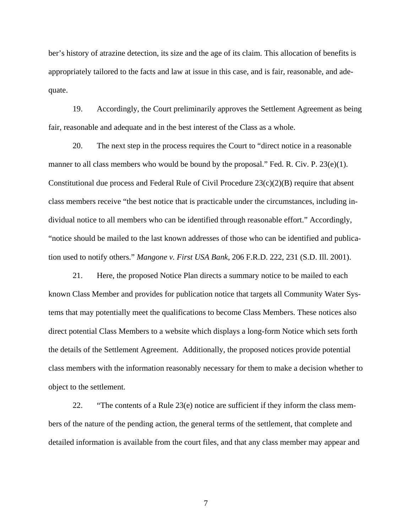ber's history of atrazine detection, its size and the age of its claim. This allocation of benefits is appropriately tailored to the facts and law at issue in this case, and is fair, reasonable, and adequate.

19. Accordingly, the Court preliminarily approves the Settlement Agreement as being fair, reasonable and adequate and in the best interest of the Class as a whole.

20. The next step in the process requires the Court to "direct notice in a reasonable manner to all class members who would be bound by the proposal." Fed. R. Civ. P.  $23(e)(1)$ . Constitutional due process and Federal Rule of Civil Procedure  $23(c)(2)(B)$  require that absent class members receive "the best notice that is practicable under the circumstances, including individual notice to all members who can be identified through reasonable effort." Accordingly, "notice should be mailed to the last known addresses of those who can be identified and publication used to notify others." *Mangone v. First USA Bank*, 206 F.R.D. 222, 231 (S.D. Ill. 2001).

21. Here, the proposed Notice Plan directs a summary notice to be mailed to each known Class Member and provides for publication notice that targets all Community Water Systems that may potentially meet the qualifications to become Class Members. These notices also direct potential Class Members to a website which displays a long-form Notice which sets forth the details of the Settlement Agreement. Additionally, the proposed notices provide potential class members with the information reasonably necessary for them to make a decision whether to object to the settlement.

22. "The contents of a Rule 23(e) notice are sufficient if they inform the class members of the nature of the pending action, the general terms of the settlement, that complete and detailed information is available from the court files, and that any class member may appear and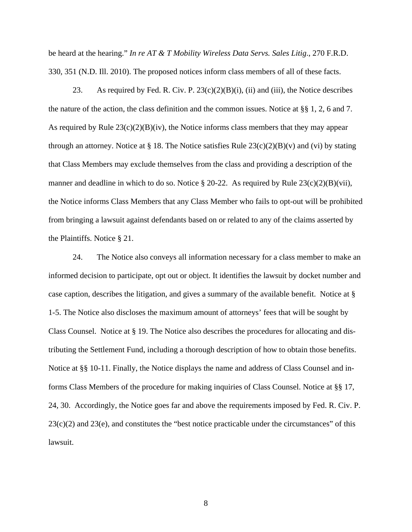be heard at the hearing." *In re AT & T Mobility Wireless Data Servs. Sales Litig*., 270 F.R.D. 330, 351 (N.D. Ill. 2010). The proposed notices inform class members of all of these facts.

23. As required by Fed. R. Civ. P.  $23(c)(2)(B)(i)$ , (ii) and (iii), the Notice describes the nature of the action, the class definition and the common issues. Notice at §§ 1, 2, 6 and 7. As required by Rule  $23(c)(2)(B)(iv)$ , the Notice informs class members that they may appear through an attorney. Notice at § 18. The Notice satisfies Rule  $23(c)(2)(B)(v)$  and (vi) by stating that Class Members may exclude themselves from the class and providing a description of the manner and deadline in which to do so. Notice  $\S 20-22$ . As required by Rule 23(c)(2)(B)(vii), the Notice informs Class Members that any Class Member who fails to opt-out will be prohibited from bringing a lawsuit against defendants based on or related to any of the claims asserted by the Plaintiffs. Notice § 21.

24. The Notice also conveys all information necessary for a class member to make an informed decision to participate, opt out or object. It identifies the lawsuit by docket number and case caption, describes the litigation, and gives a summary of the available benefit. Notice at § 1-5. The Notice also discloses the maximum amount of attorneys' fees that will be sought by Class Counsel. Notice at § 19. The Notice also describes the procedures for allocating and distributing the Settlement Fund, including a thorough description of how to obtain those benefits. Notice at §§ 10-11. Finally, the Notice displays the name and address of Class Counsel and informs Class Members of the procedure for making inquiries of Class Counsel. Notice at §§ 17, 24, 30. Accordingly, the Notice goes far and above the requirements imposed by Fed. R. Civ. P.  $23(c)(2)$  and  $23(e)$ , and constitutes the "best notice practicable under the circumstances" of this lawsuit.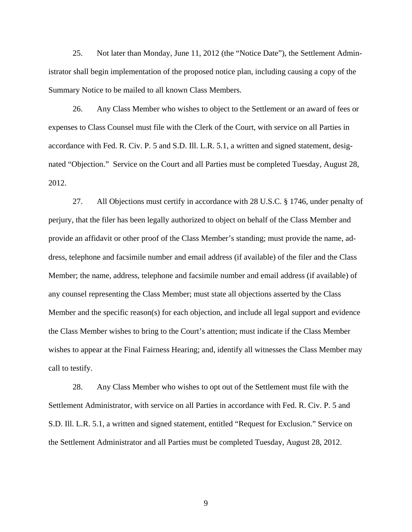25. Not later than Monday, June 11, 2012 (the "Notice Date"), the Settlement Administrator shall begin implementation of the proposed notice plan, including causing a copy of the Summary Notice to be mailed to all known Class Members.

26. Any Class Member who wishes to object to the Settlement or an award of fees or expenses to Class Counsel must file with the Clerk of the Court, with service on all Parties in accordance with Fed. R. Civ. P. 5 and S.D. Ill. L.R. 5.1, a written and signed statement, designated "Objection." Service on the Court and all Parties must be completed Tuesday, August 28, 2012.

27. All Objections must certify in accordance with 28 U.S.C. § 1746, under penalty of perjury, that the filer has been legally authorized to object on behalf of the Class Member and provide an affidavit or other proof of the Class Member's standing; must provide the name, address, telephone and facsimile number and email address (if available) of the filer and the Class Member; the name, address, telephone and facsimile number and email address (if available) of any counsel representing the Class Member; must state all objections asserted by the Class Member and the specific reason(s) for each objection, and include all legal support and evidence the Class Member wishes to bring to the Court's attention; must indicate if the Class Member wishes to appear at the Final Fairness Hearing; and, identify all witnesses the Class Member may call to testify.

28. Any Class Member who wishes to opt out of the Settlement must file with the Settlement Administrator, with service on all Parties in accordance with Fed. R. Civ. P. 5 and S.D. Ill. L.R. 5.1, a written and signed statement, entitled "Request for Exclusion." Service on the Settlement Administrator and all Parties must be completed Tuesday, August 28, 2012.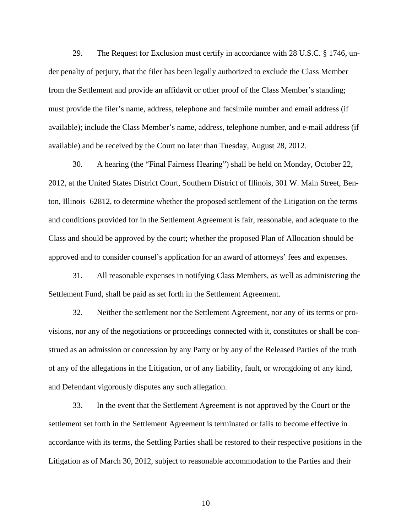29. The Request for Exclusion must certify in accordance with 28 U.S.C. § 1746, under penalty of perjury, that the filer has been legally authorized to exclude the Class Member from the Settlement and provide an affidavit or other proof of the Class Member's standing; must provide the filer's name, address, telephone and facsimile number and email address (if available); include the Class Member's name, address, telephone number, and e-mail address (if available) and be received by the Court no later than Tuesday, August 28, 2012.

30. A hearing (the "Final Fairness Hearing") shall be held on Monday, October 22, 2012, at the United States District Court, Southern District of Illinois, 301 W. Main Street, Benton, Illinois 62812, to determine whether the proposed settlement of the Litigation on the terms and conditions provided for in the Settlement Agreement is fair, reasonable, and adequate to the Class and should be approved by the court; whether the proposed Plan of Allocation should be approved and to consider counsel's application for an award of attorneys' fees and expenses.

31. All reasonable expenses in notifying Class Members, as well as administering the Settlement Fund, shall be paid as set forth in the Settlement Agreement.

32. Neither the settlement nor the Settlement Agreement, nor any of its terms or provisions, nor any of the negotiations or proceedings connected with it, constitutes or shall be construed as an admission or concession by any Party or by any of the Released Parties of the truth of any of the allegations in the Litigation, or of any liability, fault, or wrongdoing of any kind, and Defendant vigorously disputes any such allegation.

33. In the event that the Settlement Agreement is not approved by the Court or the settlement set forth in the Settlement Agreement is terminated or fails to become effective in accordance with its terms, the Settling Parties shall be restored to their respective positions in the Litigation as of March 30, 2012, subject to reasonable accommodation to the Parties and their